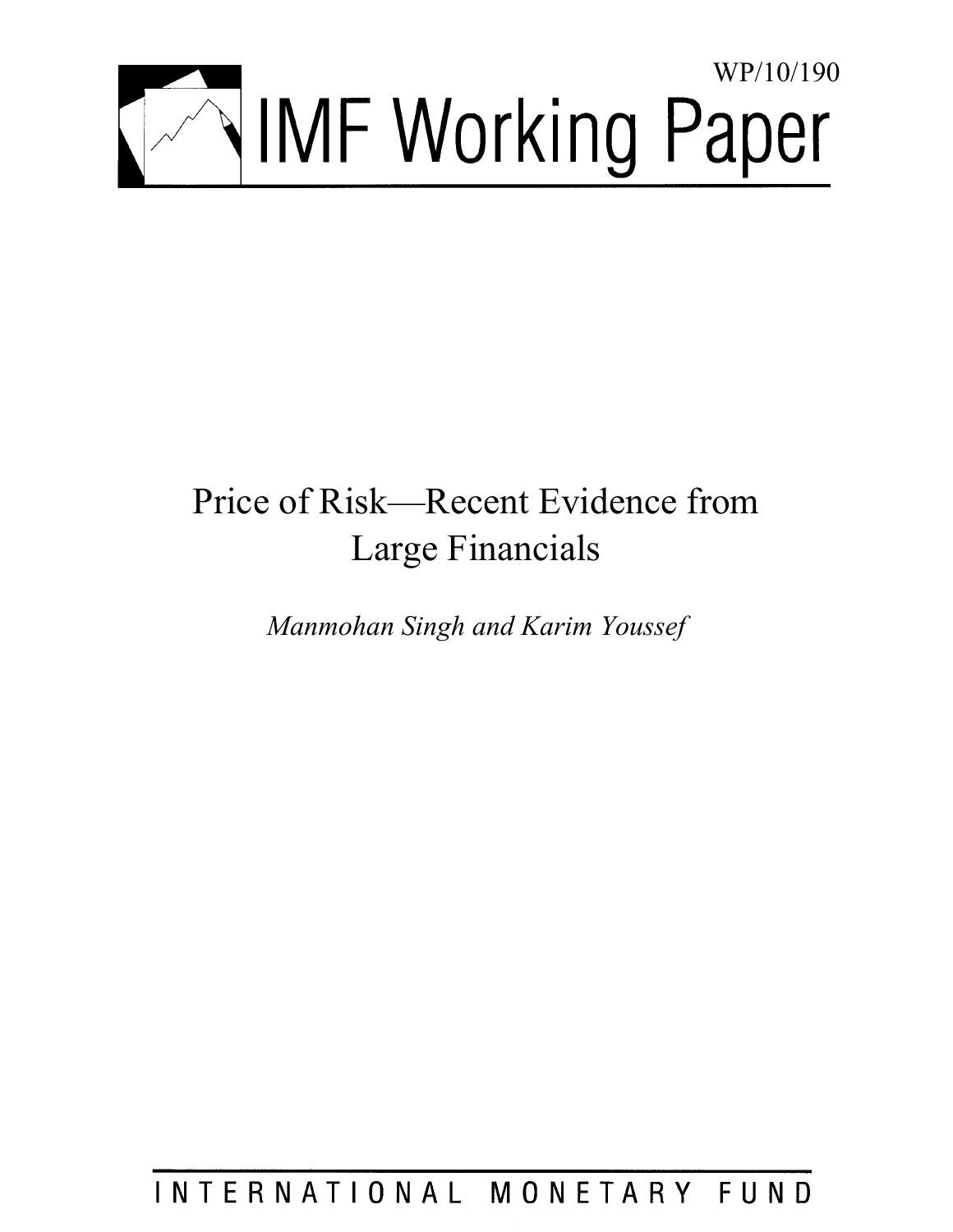

# Price of Risk—Recent Evidence from Large Financials

*Manmohan Singh and Karim Youssef* 

INTERNATIONAL MONETARY FUND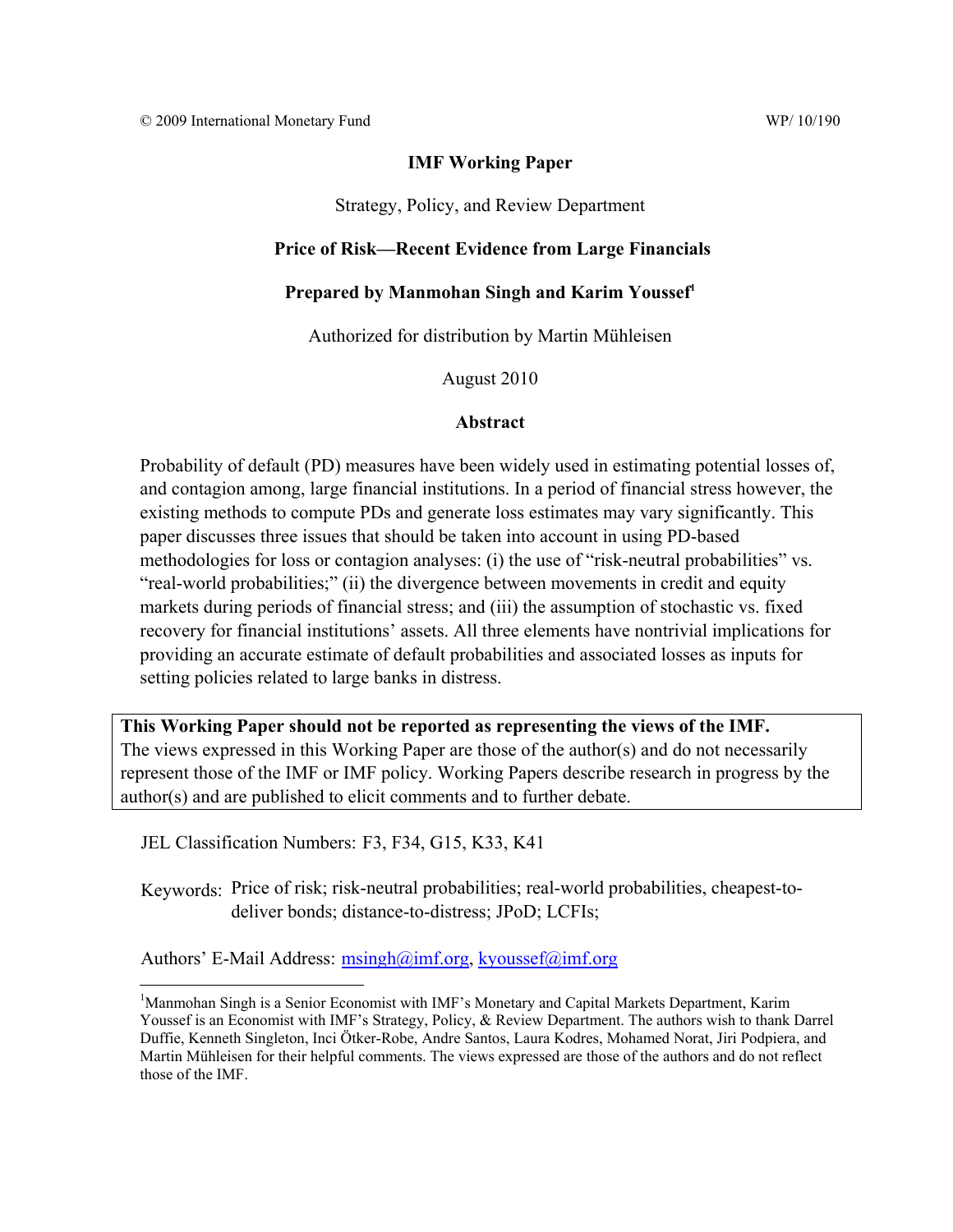#### **IMF Working Paper**

Strategy, Policy, and Review Department

#### **Price of Risk—Recent Evidence from Large Financials**

#### **Prepared by Manmohan Singh and Karim Youssef1**

Authorized for distribution by Martin Mühleisen

August 2010

#### **Abstract**

Probability of default (PD) measures have been widely used in estimating potential losses of, and contagion among, large financial institutions. In a period of financial stress however, the existing methods to compute PDs and generate loss estimates may vary significantly. This paper discusses three issues that should be taken into account in using PD-based methodologies for loss or contagion analyses: (i) the use of "risk-neutral probabilities" vs. "real-world probabilities;" (ii) the divergence between movements in credit and equity markets during periods of financial stress; and (iii) the assumption of stochastic vs. fixed recovery for financial institutions' assets. All three elements have nontrivial implications for providing an accurate estimate of default probabilities and associated losses as inputs for setting policies related to large banks in distress.

**This Working Paper should not be reported as representing the views of the IMF.** The views expressed in this Working Paper are those of the author(s) and do not necessarily represent those of the IMF or IMF policy. Working Papers describe research in progress by the author(s) and are published to elicit comments and to further debate.

JEL Classification Numbers: F3, F34, G15, K33, K41

 $\overline{a}$ 

Keywords: Price of risk; risk-neutral probabilities; real-world probabilities, cheapest-todeliver bonds; distance-to-distress; JPoD; LCFIs;

Authors' E-Mail Address: msingh@imf.org, kyoussef@imf.org

<sup>&</sup>lt;sup>1</sup>Manmohan Singh is a Senior Economist with IMF's Monetary and Capital Markets Department, Karim Youssef is an Economist with IMF's Strategy, Policy, & Review Department. The authors wish to thank Darrel Duffie, Kenneth Singleton, Inci Ötker-Robe, Andre Santos, Laura Kodres, Mohamed Norat, Jiri Podpiera, and Martin Mühleisen for their helpful comments. The views expressed are those of the authors and do not reflect those of the IMF.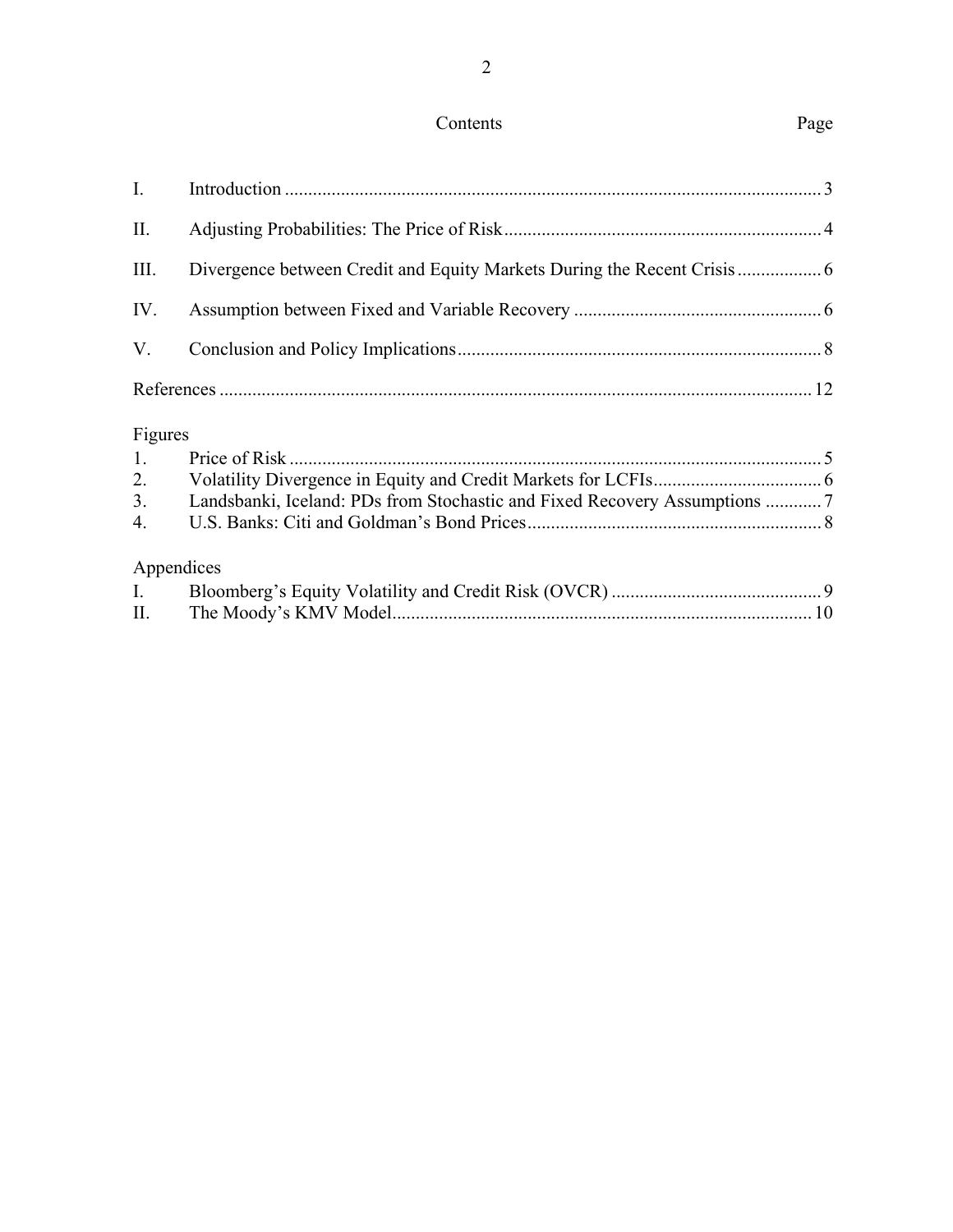# Contents Page

| $I_{\cdot}$  |                                                                           |  |
|--------------|---------------------------------------------------------------------------|--|
| II.          |                                                                           |  |
| III.         |                                                                           |  |
| IV.          |                                                                           |  |
| V.           |                                                                           |  |
|              |                                                                           |  |
| Figures      |                                                                           |  |
| 1.           |                                                                           |  |
| 2.           |                                                                           |  |
| 3.           | Landsbanki, Iceland: PDs from Stochastic and Fixed Recovery Assumptions 7 |  |
| 4.           |                                                                           |  |
| Appendices   |                                                                           |  |
| $\mathbf{I}$ |                                                                           |  |

| $\rm{II}$ . |  |
|-------------|--|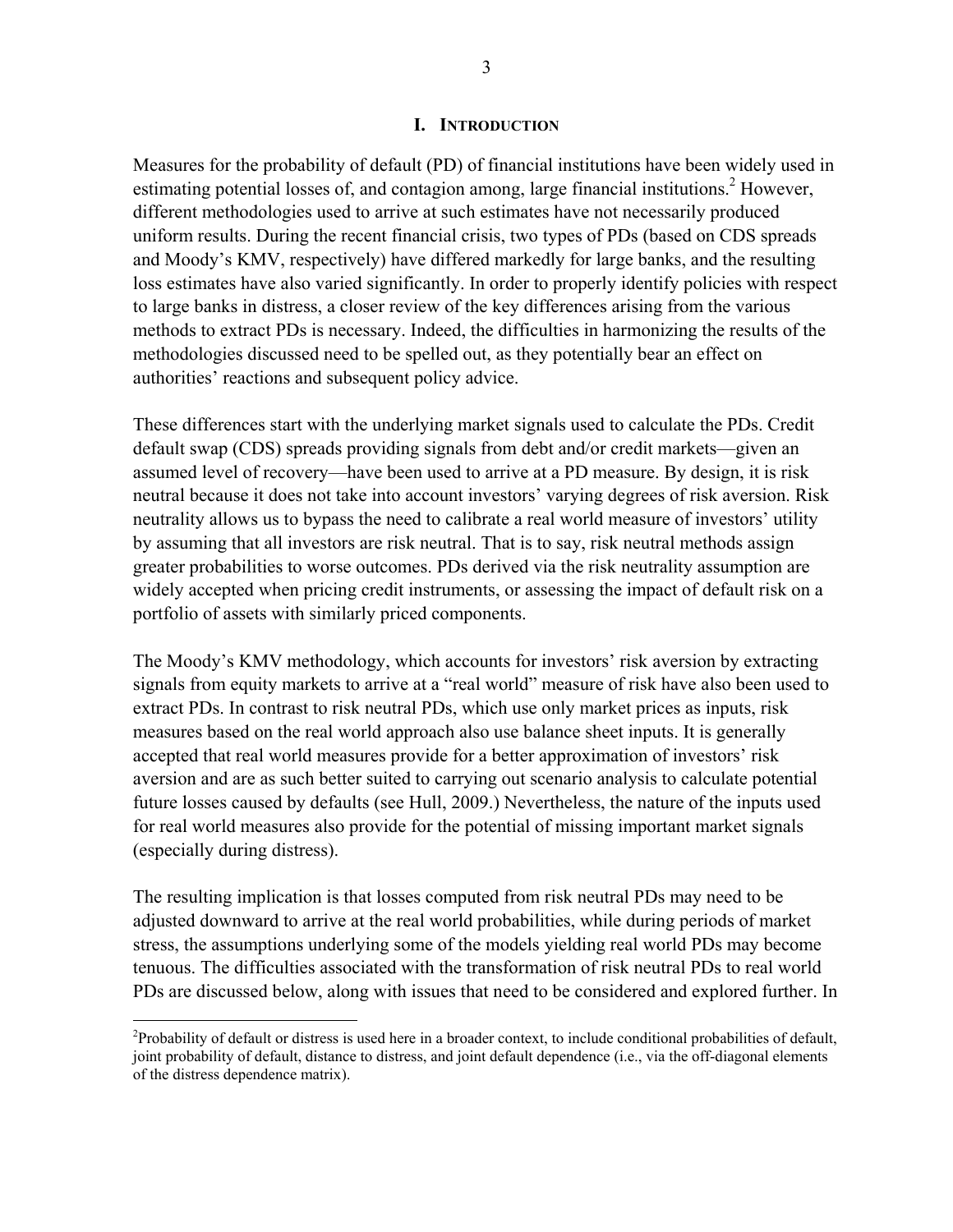#### **I. INTRODUCTION**

Measures for the probability of default (PD) of financial institutions have been widely used in estimating potential losses of, and contagion among, large financial institutions.<sup>2</sup> However, different methodologies used to arrive at such estimates have not necessarily produced uniform results. During the recent financial crisis, two types of PDs (based on CDS spreads and Moody's KMV, respectively) have differed markedly for large banks, and the resulting loss estimates have also varied significantly. In order to properly identify policies with respect to large banks in distress, a closer review of the key differences arising from the various methods to extract PDs is necessary. Indeed, the difficulties in harmonizing the results of the methodologies discussed need to be spelled out, as they potentially bear an effect on authorities' reactions and subsequent policy advice.

These differences start with the underlying market signals used to calculate the PDs. Credit default swap (CDS) spreads providing signals from debt and/or credit markets—given an assumed level of recovery—have been used to arrive at a PD measure. By design, it is risk neutral because it does not take into account investors' varying degrees of risk aversion. Risk neutrality allows us to bypass the need to calibrate a real world measure of investors' utility by assuming that all investors are risk neutral. That is to say, risk neutral methods assign greater probabilities to worse outcomes. PDs derived via the risk neutrality assumption are widely accepted when pricing credit instruments, or assessing the impact of default risk on a portfolio of assets with similarly priced components.

The Moody's KMV methodology, which accounts for investors' risk aversion by extracting signals from equity markets to arrive at a "real world" measure of risk have also been used to extract PDs. In contrast to risk neutral PDs, which use only market prices as inputs, risk measures based on the real world approach also use balance sheet inputs. It is generally accepted that real world measures provide for a better approximation of investors' risk aversion and are as such better suited to carrying out scenario analysis to calculate potential future losses caused by defaults (see Hull, 2009.) Nevertheless, the nature of the inputs used for real world measures also provide for the potential of missing important market signals (especially during distress).

The resulting implication is that losses computed from risk neutral PDs may need to be adjusted downward to arrive at the real world probabilities, while during periods of market stress, the assumptions underlying some of the models yielding real world PDs may become tenuous. The difficulties associated with the transformation of risk neutral PDs to real world PDs are discussed below, along with issues that need to be considered and explored further. In

 $2$ Probability of default or distress is used here in a broader context, to include conditional probabilities of default, joint probability of default, distance to distress, and joint default dependence (i.e., via the off-diagonal elements of the distress dependence matrix).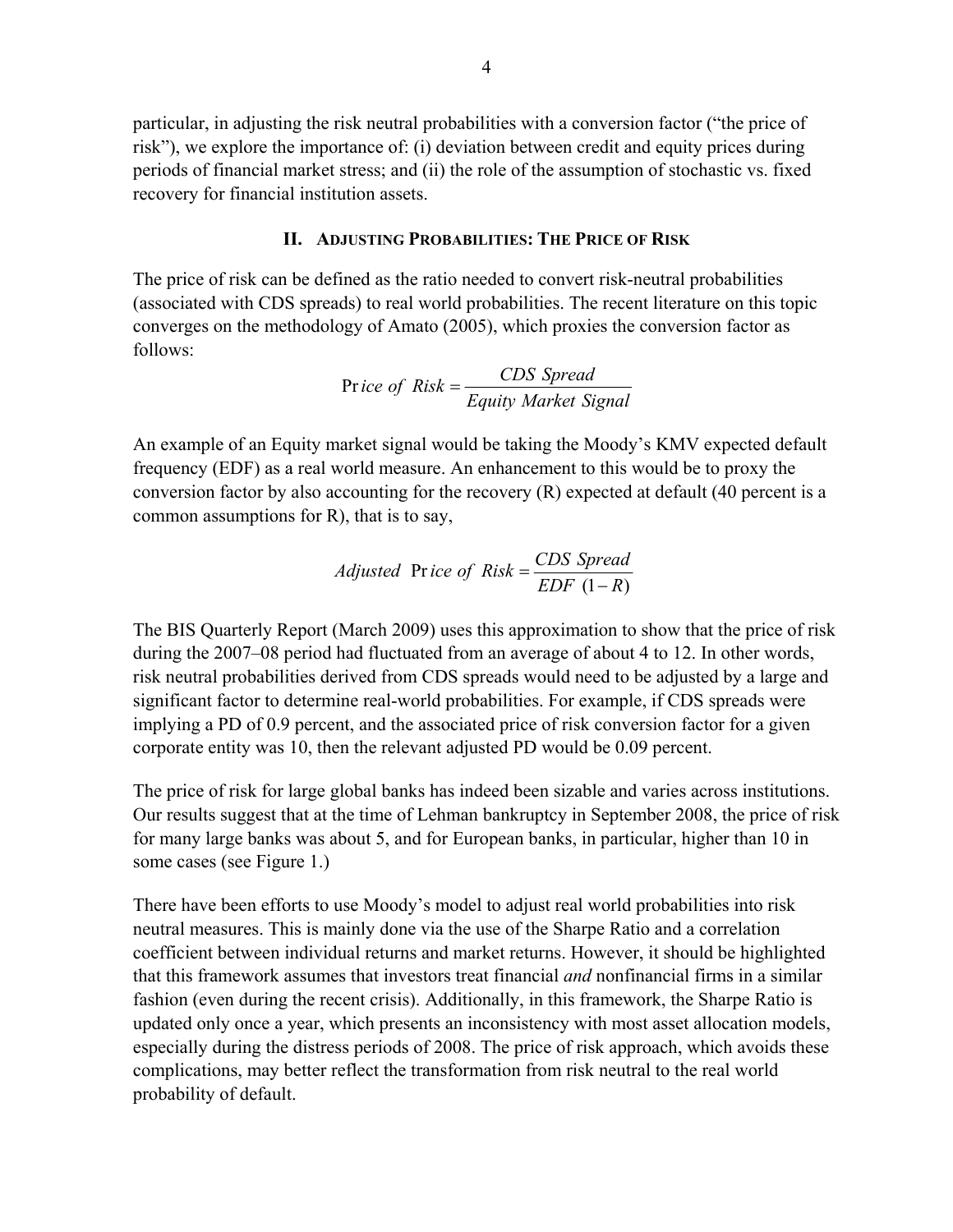particular, in adjusting the risk neutral probabilities with a conversion factor ("the price of risk"), we explore the importance of: (i) deviation between credit and equity prices during periods of financial market stress; and (ii) the role of the assumption of stochastic vs. fixed recovery for financial institution assets.

#### **II. ADJUSTING PROBABILITIES: THE PRICE OF RISK**

The price of risk can be defined as the ratio needed to convert risk-neutral probabilities (associated with CDS spreads) to real world probabilities. The recent literature on this topic converges on the methodology of Amato (2005), which proxies the conversion factor as follows:

$$
Price of Risk = \frac{CDS\ Spread}{Equity\ Market\ Signal}
$$

An example of an Equity market signal would be taking the Moody's KMV expected default frequency (EDF) as a real world measure. An enhancement to this would be to proxy the conversion factor by also accounting for the recovery (R) expected at default (40 percent is a common assumptions for R), that is to say,

$$
Adjusted \ \ \text{Price of} \ \ \text{Risk} = \frac{CDS \ \text{Spread}}{EDF \ \ (1 - R)}
$$

The BIS Quarterly Report (March 2009) uses this approximation to show that the price of risk during the 2007–08 period had fluctuated from an average of about 4 to 12. In other words, risk neutral probabilities derived from CDS spreads would need to be adjusted by a large and significant factor to determine real-world probabilities. For example, if CDS spreads were implying a PD of 0.9 percent, and the associated price of risk conversion factor for a given corporate entity was 10, then the relevant adjusted PD would be 0.09 percent.

The price of risk for large global banks has indeed been sizable and varies across institutions. Our results suggest that at the time of Lehman bankruptcy in September 2008, the price of risk for many large banks was about 5, and for European banks, in particular, higher than 10 in some cases (see Figure 1.)

There have been efforts to use Moody's model to adjust real world probabilities into risk neutral measures. This is mainly done via the use of the Sharpe Ratio and a correlation coefficient between individual returns and market returns. However, it should be highlighted that this framework assumes that investors treat financial *and* nonfinancial firms in a similar fashion (even during the recent crisis). Additionally, in this framework, the Sharpe Ratio is updated only once a year, which presents an inconsistency with most asset allocation models, especially during the distress periods of 2008. The price of risk approach, which avoids these complications, may better reflect the transformation from risk neutral to the real world probability of default.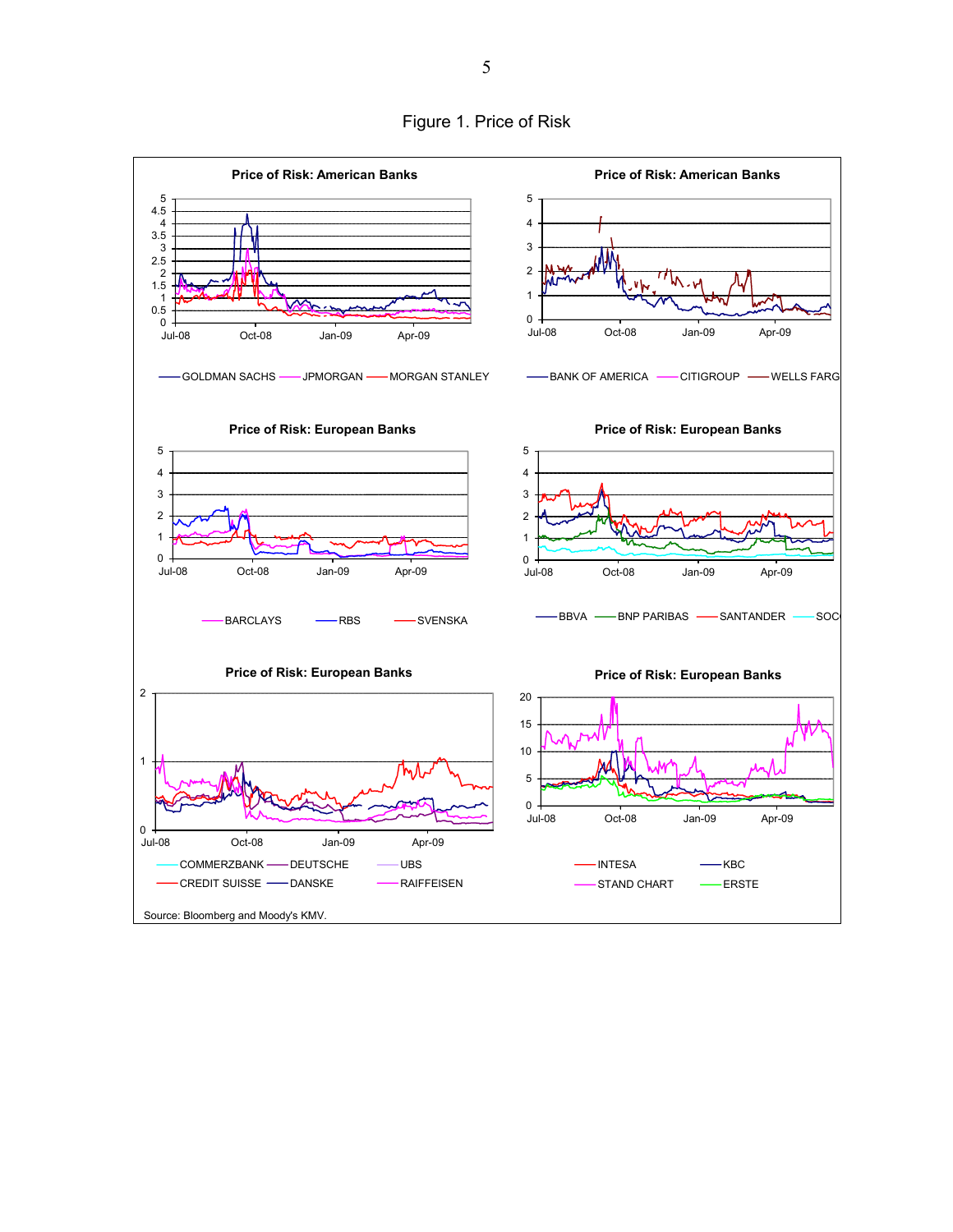Figure 1. Price of Risk

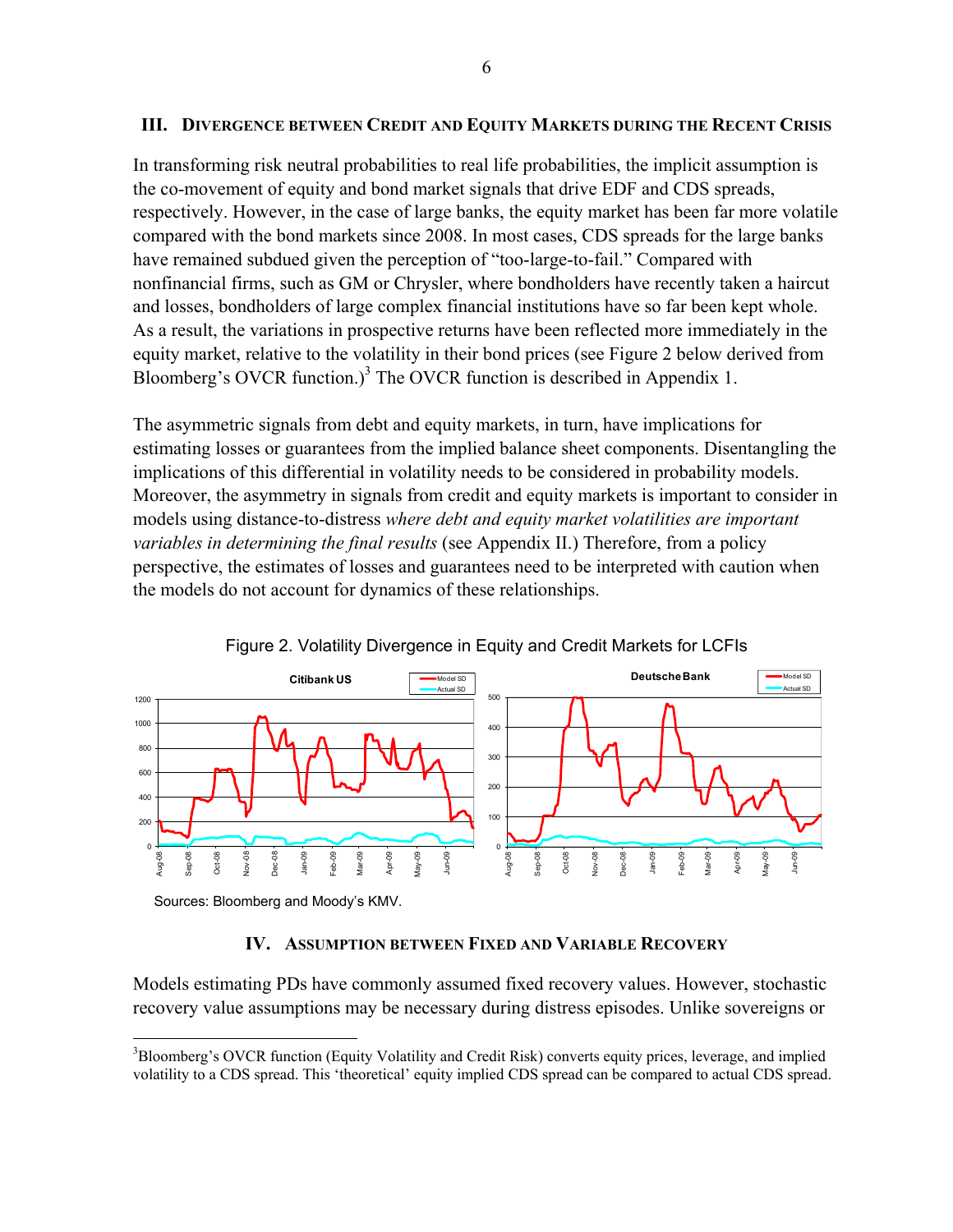#### **III. DIVERGENCE BETWEEN CREDIT AND EQUITY MARKETS DURING THE RECENT CRISIS**

In transforming risk neutral probabilities to real life probabilities, the implicit assumption is the co-movement of equity and bond market signals that drive EDF and CDS spreads, respectively. However, in the case of large banks, the equity market has been far more volatile compared with the bond markets since 2008. In most cases, CDS spreads for the large banks have remained subdued given the perception of "too-large-to-fail." Compared with nonfinancial firms, such as GM or Chrysler, where bondholders have recently taken a haircut and losses, bondholders of large complex financial institutions have so far been kept whole. As a result, the variations in prospective returns have been reflected more immediately in the equity market, relative to the volatility in their bond prices (see Figure 2 below derived from Bloomberg's OVCR function.)<sup>3</sup> The OVCR function is described in Appendix 1.

The asymmetric signals from debt and equity markets, in turn, have implications for estimating losses or guarantees from the implied balance sheet components. Disentangling the implications of this differential in volatility needs to be considered in probability models. Moreover, the asymmetry in signals from credit and equity markets is important to consider in models using distance-to-distress *where debt and equity market volatilities are important variables in determining the final results* (see Appendix II.) Therefore, from a policy perspective, the estimates of losses and guarantees need to be interpreted with caution when the models do not account for dynamics of these relationships.



Figure 2. Volatility Divergence in Equity and Credit Markets for LCFIs

Sources: Bloomberg and Moody's KMV.

 $\overline{a}$ 

#### **IV. ASSUMPTION BETWEEN FIXED AND VARIABLE RECOVERY**

Models estimating PDs have commonly assumed fixed recovery values. However, stochastic recovery value assumptions may be necessary during distress episodes. Unlike sovereigns or

<sup>&</sup>lt;sup>3</sup>Bloomberg's OVCR function (Equity Volatility and Credit Risk) converts equity prices, leverage, and implied volatility to a CDS spread. This 'theoretical' equity implied CDS spread can be compared to actual CDS spread.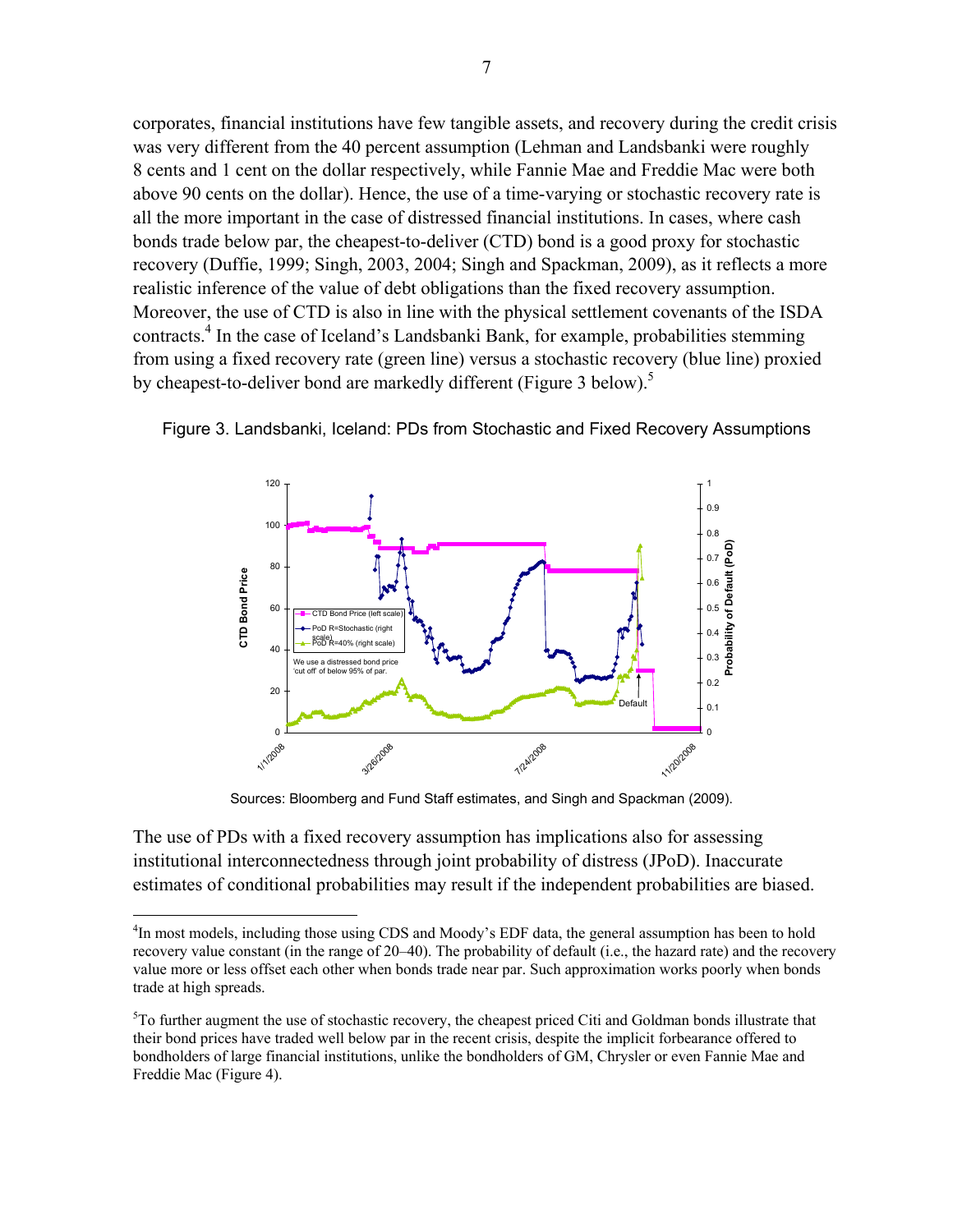corporates, financial institutions have few tangible assets, and recovery during the credit crisis was very different from the 40 percent assumption (Lehman and Landsbanki were roughly 8 cents and 1 cent on the dollar respectively, while Fannie Mae and Freddie Mac were both above 90 cents on the dollar). Hence, the use of a time-varying or stochastic recovery rate is all the more important in the case of distressed financial institutions. In cases, where cash bonds trade below par, the cheapest-to-deliver (CTD) bond is a good proxy for stochastic recovery (Duffie, 1999; Singh, 2003, 2004; Singh and Spackman, 2009), as it reflects a more realistic inference of the value of debt obligations than the fixed recovery assumption. Moreover, the use of CTD is also in line with the physical settlement covenants of the ISDA contracts.<sup>4</sup> In the case of Iceland's Landsbanki Bank, for example, probabilities stemming from using a fixed recovery rate (green line) versus a stochastic recovery (blue line) proxied by cheapest-to-deliver bond are markedly different (Figure 3 below).<sup>5</sup>



Figure 3. Landsbanki, Iceland: PDs from Stochastic and Fixed Recovery Assumptions

Sources: Bloomberg and Fund Staff estimates, and Singh and Spackman (2009).

The use of PDs with a fixed recovery assumption has implications also for assessing institutional interconnectedness through joint probability of distress (JPoD). Inaccurate estimates of conditional probabilities may result if the independent probabilities are biased.

<sup>&</sup>lt;sup>4</sup>In most models, including those using CDS and Moody's EDF data, the general assumption has been to hold recovery value constant (in the range of 20–40). The probability of default (i.e., the hazard rate) and the recovery value more or less offset each other when bonds trade near par. Such approximation works poorly when bonds trade at high spreads.

<sup>&</sup>lt;sup>5</sup>To further augment the use of stochastic recovery, the cheapest priced Citi and Goldman bonds illustrate that their bond prices have traded well below par in the recent crisis, despite the implicit forbearance offered to bondholders of large financial institutions, unlike the bondholders of GM, Chrysler or even Fannie Mae and Freddie Mac (Figure 4).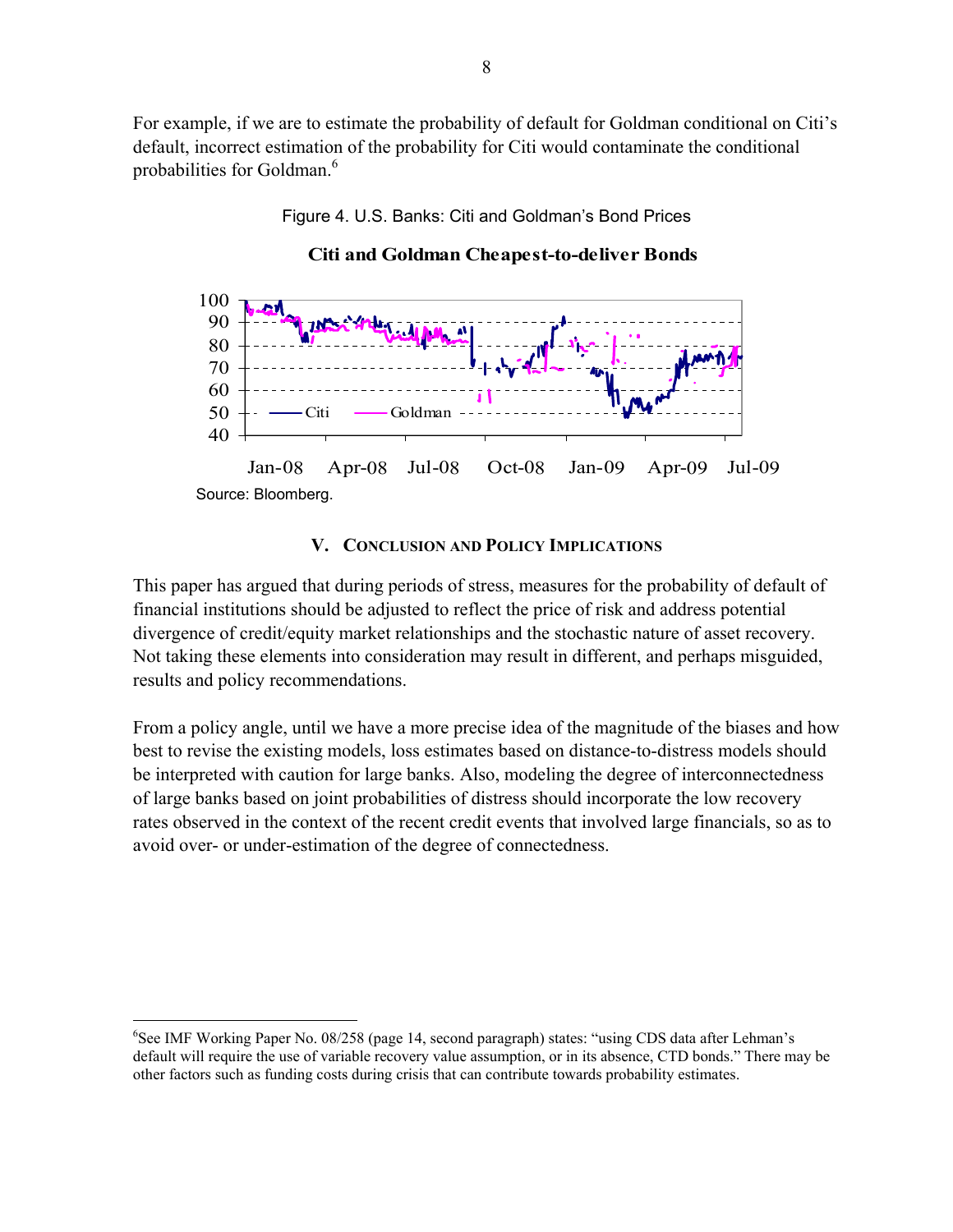For example, if we are to estimate the probability of default for Goldman conditional on Citi's default, incorrect estimation of the probability for Citi would contaminate the conditional probabilities for Goldman.<sup>6</sup>



Figure 4. U.S. Banks: Citi and Goldman's Bond Prices

**Citi and Goldman Cheapest-to-deliver Bonds** 

#### **V. CONCLUSION AND POLICY IMPLICATIONS**

This paper has argued that during periods of stress, measures for the probability of default of financial institutions should be adjusted to reflect the price of risk and address potential divergence of credit/equity market relationships and the stochastic nature of asset recovery. Not taking these elements into consideration may result in different, and perhaps misguided, results and policy recommendations.

From a policy angle, until we have a more precise idea of the magnitude of the biases and how best to revise the existing models, loss estimates based on distance-to-distress models should be interpreted with caution for large banks. Also, modeling the degree of interconnectedness of large banks based on joint probabilities of distress should incorporate the low recovery rates observed in the context of the recent credit events that involved large financials, so as to avoid over- or under-estimation of the degree of connectedness.

<sup>&</sup>lt;sup>6</sup>See IMF Working Paper No. 08/258 (page 14, second paragraph) states: "using CDS data after Lehman's default will require the use of variable recovery value assumption, or in its absence, CTD bonds." There may be other factors such as funding costs during crisis that can contribute towards probability estimates.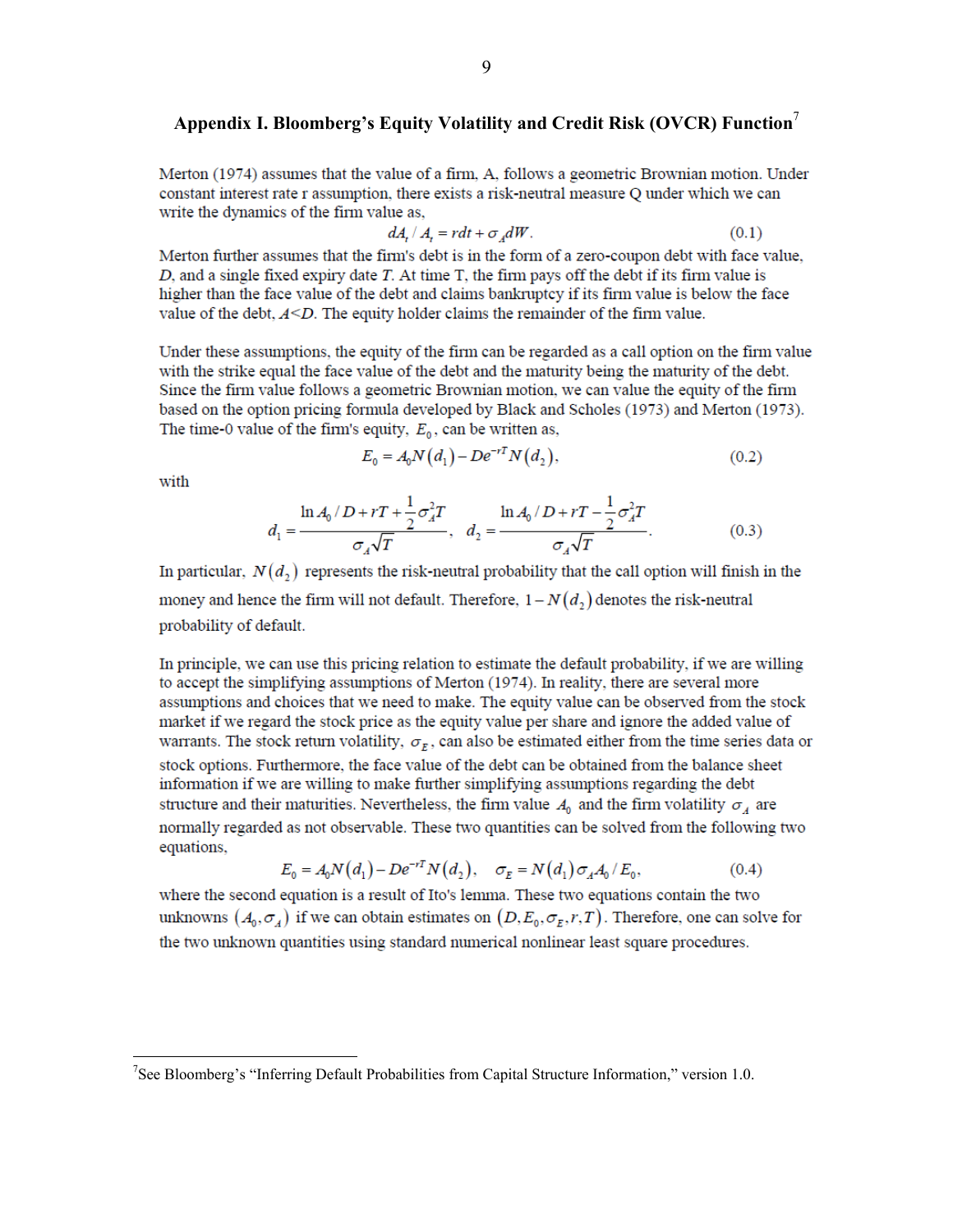### **Appendix I. Bloomberg's Equity Volatility and Credit Risk (OVCR) Function**<sup>7</sup>

Merton (1974) assumes that the value of a firm. A, follows a geometric Brownian motion. Under constant interest rate r assumption, there exists a risk-neutral measure Q under which we can write the dynamics of the firm value as,

$$
dA_{\mathbf{r}}/A_{\mathbf{r}} = rdt + \sigma_{\mathbf{r}}dW. \tag{0.1}
$$

Merton further assumes that the firm's debt is in the form of a zero-coupon debt with face value,  $D$ , and a single fixed expiry date  $T$ . At time  $T$ , the firm pays off the debt if its firm value is higher than the face value of the debt and claims bankruptcy if its firm value is below the face value of the debt,  $A \le D$ . The equity holder claims the remainder of the firm value.

Under these assumptions, the equity of the firm can be regarded as a call option on the firm value with the strike equal the face value of the debt and the maturity being the maturity of the debt. Since the firm value follows a geometric Brownian motion, we can value the equity of the firm based on the option pricing formula developed by Black and Scholes (1973) and Merton (1973). The time-0 value of the firm's equity,  $E_0$ , can be written as,

$$
E_0 = A_0 N(d_1) - D e^{-rT} N(d_2), \tag{0.2}
$$

with

 $\overline{a}$ 

$$
d_1 = \frac{\ln A_0/D + rT + \frac{1}{2}\sigma_A^2 T}{\sigma_A \sqrt{T}}, \quad d_2 = \frac{\ln A_0/D + rT - \frac{1}{2}\sigma_A^2 T}{\sigma_A \sqrt{T}}.
$$
(0.3)

In particular,  $N(d_2)$  represents the risk-neutral probability that the call option will finish in the money and hence the firm will not default. Therefore,  $1 - N(d_2)$  denotes the risk-neutral probability of default.

In principle, we can use this pricing relation to estimate the default probability, if we are willing to accept the simplifying assumptions of Merton (1974). In reality, there are several more assumptions and choices that we need to make. The equity value can be observed from the stock market if we regard the stock price as the equity value per share and ignore the added value of warrants. The stock return volatility,  $\sigma_E$ , can also be estimated either from the time series data or stock options. Furthermore, the face value of the debt can be obtained from the balance sheet information if we are willing to make further simplifying assumptions regarding the debt structure and their maturities. Nevertheless, the firm value  $A_0$  and the firm volatility  $\sigma_A$  are normally regarded as not observable. These two quantities can be solved from the following two equations,

$$
E_0 = A_0 N(d_1) - De^{-rT} N(d_2), \quad \sigma_E = N(d_1) \sigma_A A_0 / E_0,
$$
\n(0.4)

where the second equation is a result of Ito's lemma. These two equations contain the two unknowns  $(A_0, \sigma_A)$  if we can obtain estimates on  $(D, E_0, \sigma_E, r, T)$ . Therefore, one can solve for the two unknown quantities using standard numerical nonlinear least square procedures.

<sup>&</sup>lt;sup>7</sup>See Bloomberg's "Inferring Default Probabilities from Capital Structure Information," version 1.0.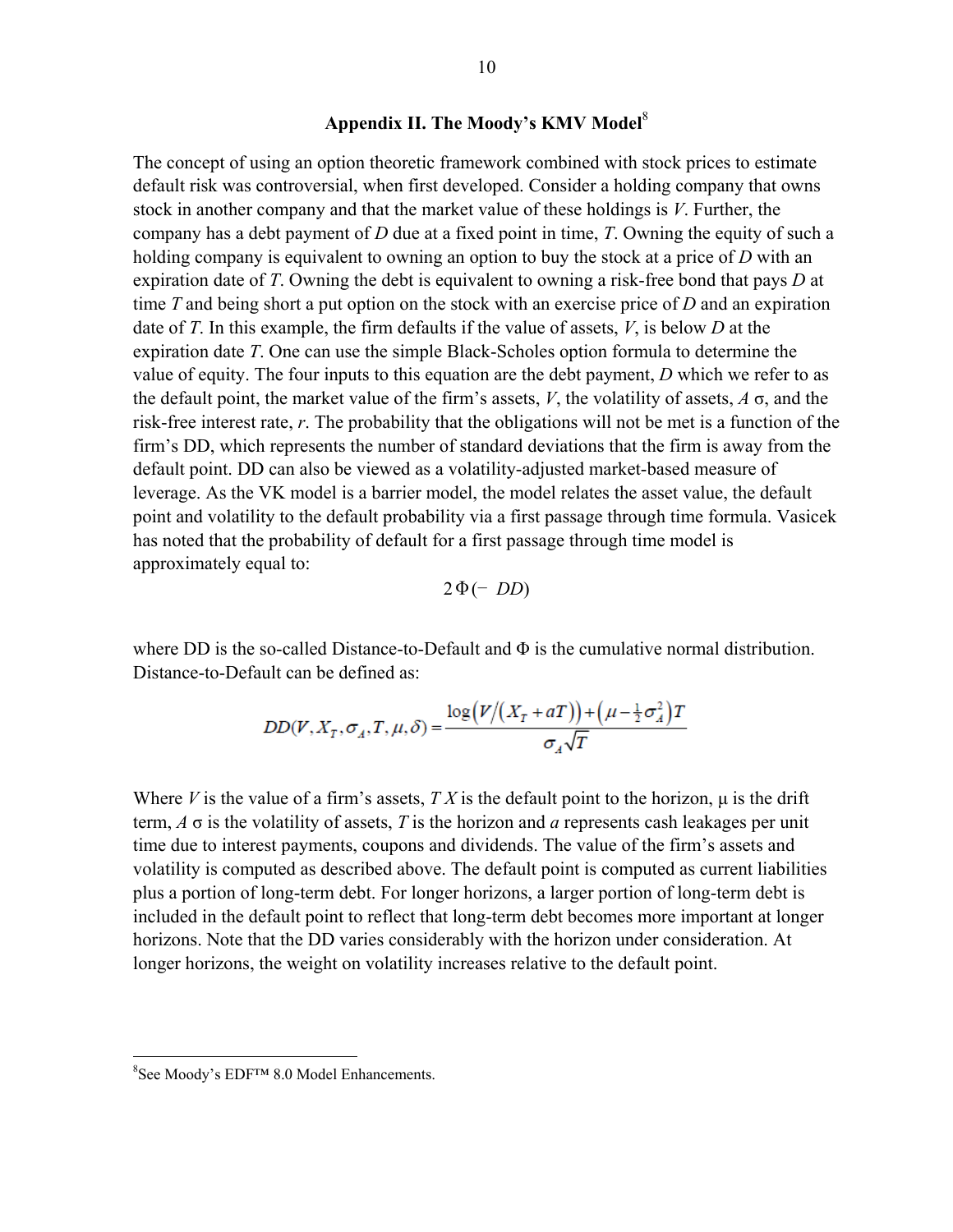## **Appendix II. The Moody's KMV Model**<sup>8</sup>

The concept of using an option theoretic framework combined with stock prices to estimate default risk was controversial, when first developed. Consider a holding company that owns stock in another company and that the market value of these holdings is *V*. Further, the company has a debt payment of *D* due at a fixed point in time, *T*. Owning the equity of such a holding company is equivalent to owning an option to buy the stock at a price of *D* with an expiration date of *T*. Owning the debt is equivalent to owning a risk-free bond that pays *D* at time *T* and being short a put option on the stock with an exercise price of *D* and an expiration date of *T*. In this example, the firm defaults if the value of assets, *V*, is below *D* at the expiration date *T*. One can use the simple Black-Scholes option formula to determine the value of equity. The four inputs to this equation are the debt payment, *D* which we refer to as the default point, the market value of the firm's assets, *V*, the volatility of assets, *A* σ, and the risk-free interest rate, *r*. The probability that the obligations will not be met is a function of the firm's DD, which represents the number of standard deviations that the firm is away from the default point. DD can also be viewed as a volatility-adjusted market-based measure of leverage. As the VK model is a barrier model, the model relates the asset value, the default point and volatility to the default probability via a first passage through time formula. Vasicek has noted that the probability of default for a first passage through time model is approximately equal to:

2Φ(− *DD*)

where DD is the so-called Distance-to-Default and  $\Phi$  is the cumulative normal distribution. Distance-to-Default can be defined as:

$$
DD(V, X_T, \sigma_A, T, \mu, \delta) = \frac{\log (V/(X_T + aT)) + (\mu - \frac{1}{2}\sigma_A^2)T}{\sigma_A \sqrt{T}}
$$

Where *V* is the value of a firm's assets,  $TX$  is the default point to the horizon,  $\mu$  is the drift term,  $A \sigma$  is the volatility of assets, T is the horizon and  $\alpha$  represents cash leakages per unit time due to interest payments, coupons and dividends. The value of the firm's assets and volatility is computed as described above. The default point is computed as current liabilities plus a portion of long-term debt. For longer horizons, a larger portion of long-term debt is included in the default point to reflect that long-term debt becomes more important at longer horizons. Note that the DD varies considerably with the horizon under consideration. At longer horizons, the weight on volatility increases relative to the default point.

<sup>&</sup>lt;sup>8</sup>See Moody's EDF<sup>™</sup> 8.0 Model Enhancements.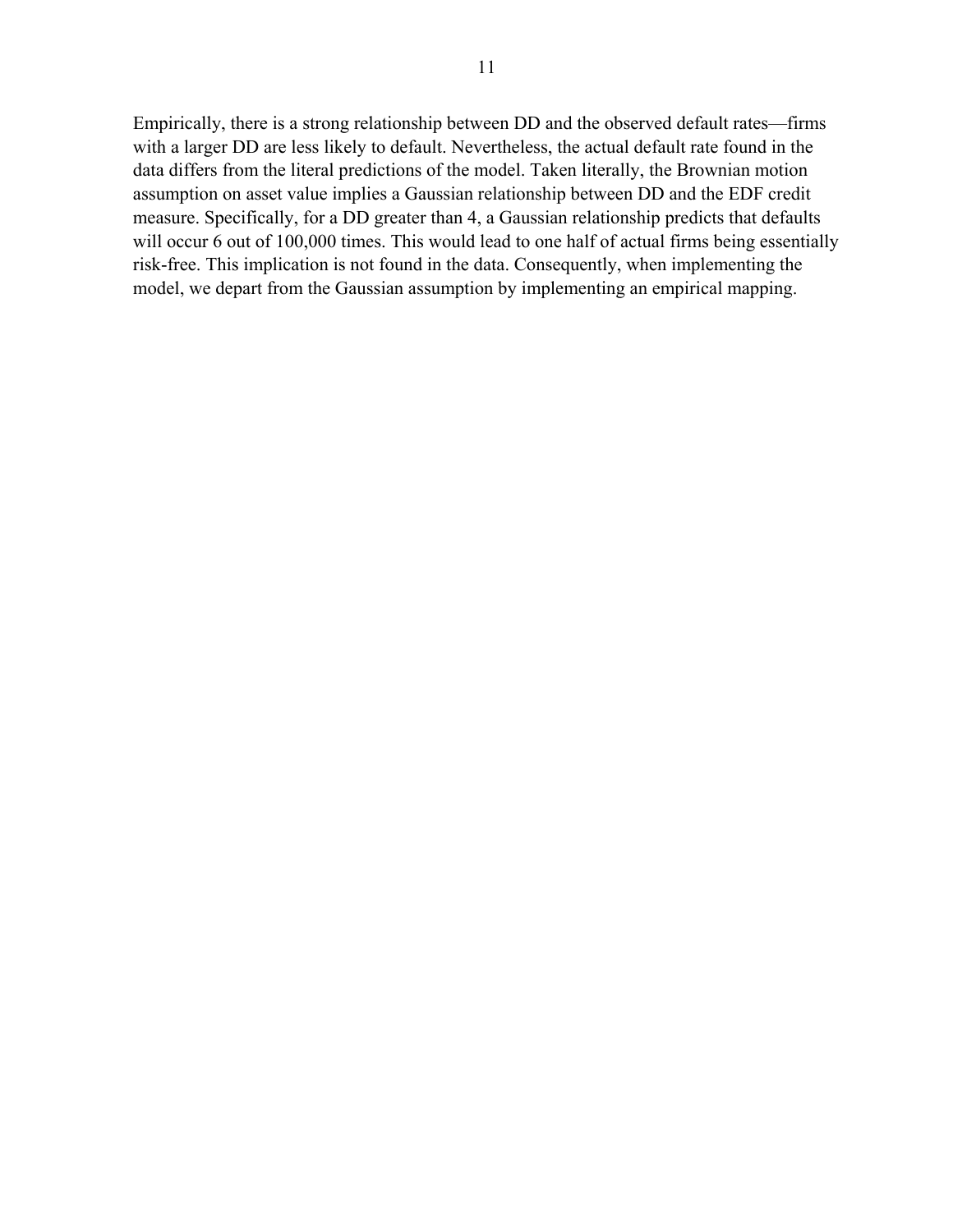Empirically, there is a strong relationship between DD and the observed default rates—firms with a larger DD are less likely to default. Nevertheless, the actual default rate found in the data differs from the literal predictions of the model. Taken literally, the Brownian motion assumption on asset value implies a Gaussian relationship between DD and the EDF credit measure. Specifically, for a DD greater than 4, a Gaussian relationship predicts that defaults will occur 6 out of 100,000 times. This would lead to one half of actual firms being essentially risk-free. This implication is not found in the data. Consequently, when implementing the model, we depart from the Gaussian assumption by implementing an empirical mapping.